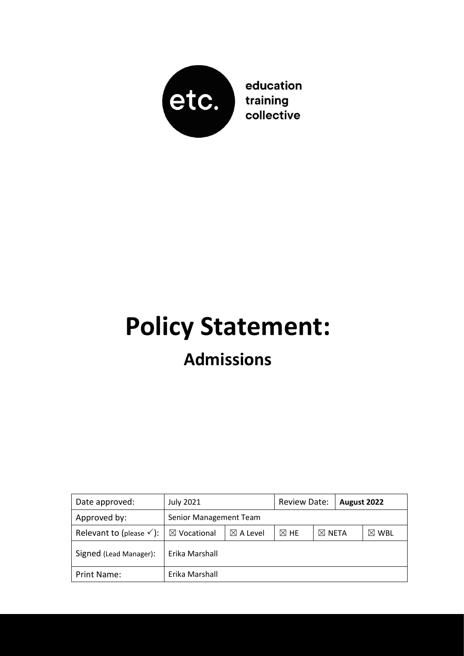

education training collective

## **Policy Statement: Admissions**

| Date approved:                      | <b>July 2021</b>       |                     | <b>Review Date:</b> |                  | August 2022 |                 |
|-------------------------------------|------------------------|---------------------|---------------------|------------------|-------------|-----------------|
| Approved by:                        | Senior Management Team |                     |                     |                  |             |                 |
| Relevant to (please $\checkmark$ ): | $\boxtimes$ Vocational | $\boxtimes$ A Level | $\boxtimes$ HE      | $\boxtimes$ Neta |             | $\boxtimes$ WBL |
| Signed (Lead Manager):              | Erika Marshall         |                     |                     |                  |             |                 |
| Print Name:                         | Erika Marshall         |                     |                     |                  |             |                 |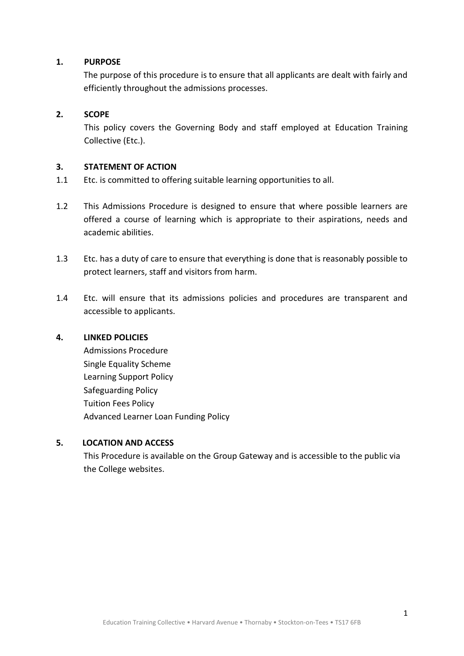#### **1. PURPOSE**

The purpose of this procedure is to ensure that all applicants are dealt with fairly and efficiently throughout the admissions processes.

#### **2. SCOPE**

This policy covers the Governing Body and staff employed at Education Training Collective (Etc.).

#### **3. STATEMENT OF ACTION**

- 1.1 Etc. is committed to offering suitable learning opportunities to all.
- 1.2 This Admissions Procedure is designed to ensure that where possible learners are offered a course of learning which is appropriate to their aspirations, needs and academic abilities.
- 1.3 Etc. has a duty of care to ensure that everything is done that is reasonably possible to protect learners, staff and visitors from harm.
- 1.4 Etc. will ensure that its admissions policies and procedures are transparent and accessible to applicants.

#### **4. LINKED POLICIES**

Admissions Procedure Single Equality Scheme Learning Support Policy Safeguarding Policy Tuition Fees Policy Advanced Learner Loan Funding Policy

#### **5. LOCATION AND ACCESS**

This Procedure is available on the Group Gateway and is accessible to the public via the College websites.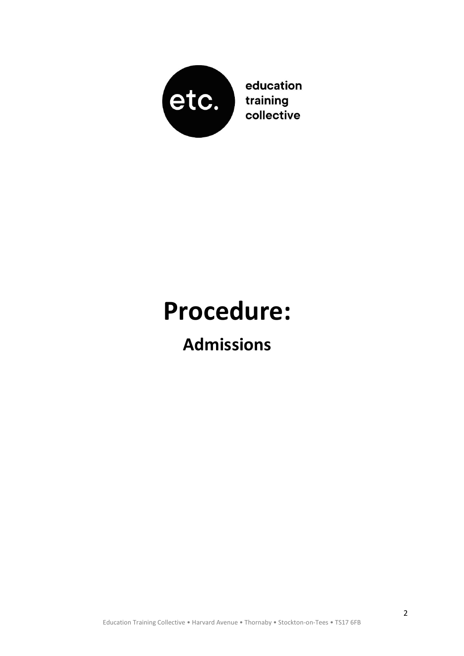

education training collective

# **Procedure:**

### **Admissions**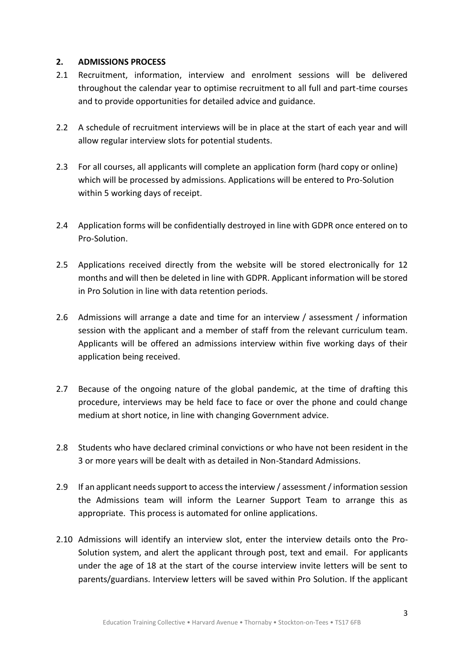#### **2. ADMISSIONS PROCESS**

- 2.1 Recruitment, information, interview and enrolment sessions will be delivered throughout the calendar year to optimise recruitment to all full and part-time courses and to provide opportunities for detailed advice and guidance.
- 2.2 A schedule of recruitment interviews will be in place at the start of each year and will allow regular interview slots for potential students.
- 2.3 For all courses, all applicants will complete an application form (hard copy or online) which will be processed by admissions. Applications will be entered to Pro-Solution within 5 working days of receipt.
- 2.4 Application forms will be confidentially destroyed in line with GDPR once entered on to Pro-Solution.
- 2.5 Applications received directly from the website will be stored electronically for 12 months and will then be deleted in line with GDPR. Applicant information will be stored in Pro Solution in line with data retention periods.
- 2.6 Admissions will arrange a date and time for an interview / assessment / information session with the applicant and a member of staff from the relevant curriculum team. Applicants will be offered an admissions interview within five working days of their application being received.
- 2.7 Because of the ongoing nature of the global pandemic, at the time of drafting this procedure, interviews may be held face to face or over the phone and could change medium at short notice, in line with changing Government advice.
- 2.8 Students who have declared criminal convictions or who have not been resident in the 3 or more years will be dealt with as detailed in Non-Standard Admissions.
- 2.9 If an applicant needs support to access the interview / assessment / information session the Admissions team will inform the Learner Support Team to arrange this as appropriate. This process is automated for online applications.
- 2.10 Admissions will identify an interview slot, enter the interview details onto the Pro-Solution system, and alert the applicant through post, text and email. For applicants under the age of 18 at the start of the course interview invite letters will be sent to parents/guardians. Interview letters will be saved within Pro Solution. If the applicant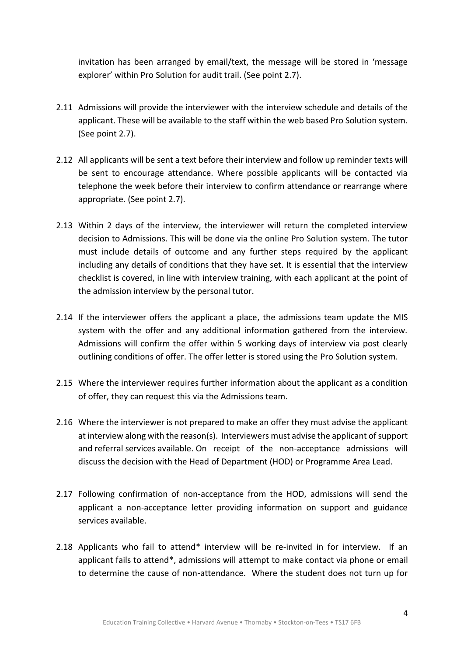invitation has been arranged by email/text, the message will be stored in 'message explorer' within Pro Solution for audit trail. (See point 2.7).

- 2.11 Admissions will provide the interviewer with the interview schedule and details of the applicant. These will be available to the staff within the web based Pro Solution system. (See point 2.7).
- 2.12 All applicants will be sent a text before their interview and follow up reminder texts will be sent to encourage attendance. Where possible applicants will be contacted via telephone the week before their interview to confirm attendance or rearrange where appropriate. (See point 2.7).
- 2.13 Within 2 days of the interview, the interviewer will return the completed interview decision to Admissions. This will be done via the online Pro Solution system. The tutor must include details of outcome and any further steps required by the applicant including any details of conditions that they have set. It is essential that the interview checklist is covered, in line with interview training, with each applicant at the point of the admission interview by the personal tutor.
- 2.14 If the interviewer offers the applicant a place, the admissions team update the MIS system with the offer and any additional information gathered from the interview. Admissions will confirm the offer within 5 working days of interview via post clearly outlining conditions of offer. The offer letter is stored using the Pro Solution system.
- 2.15 Where the interviewer requires further information about the applicant as a condition of offer, they can request this via the Admissions team.
- 2.16 Where the interviewer is not prepared to make an offer they must advise the applicant at interview along with the reason(s). Interviewers must advise the applicant of support and referral services available. On receipt of the non-acceptance admissions will discuss the decision with the Head of Department (HOD) or Programme Area Lead.
- 2.17 Following confirmation of non-acceptance from the HOD, admissions will send the applicant a non-acceptance letter providing information on support and guidance services available.
- 2.18 Applicants who fail to attend\* interview will be re-invited in for interview. If an applicant fails to attend\*, admissions will attempt to make contact via phone or email to determine the cause of non-attendance. Where the student does not turn up for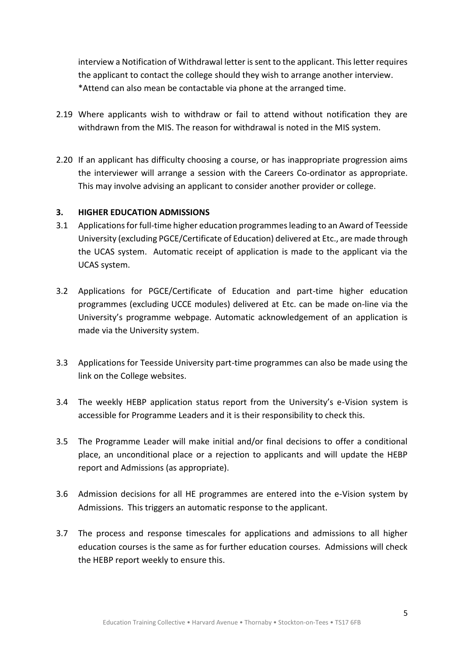interview a Notification of Withdrawal letter is sent to the applicant. This letter requires the applicant to contact the college should they wish to arrange another interview. \*Attend can also mean be contactable via phone at the arranged time.

- 2.19 Where applicants wish to withdraw or fail to attend without notification they are withdrawn from the MIS. The reason for withdrawal is noted in the MIS system.
- 2.20 If an applicant has difficulty choosing a course, or has inappropriate progression aims the interviewer will arrange a session with the Careers Co-ordinator as appropriate. This may involve advising an applicant to consider another provider or college.

#### **3. HIGHER EDUCATION ADMISSIONS**

- 3.1 Applications for full-time higher education programmes leading to an Award of Teesside University (excluding PGCE/Certificate of Education) delivered at Etc., are made through the UCAS system. Automatic receipt of application is made to the applicant via the UCAS system.
- 3.2 Applications for PGCE/Certificate of Education and part-time higher education programmes (excluding UCCE modules) delivered at Etc. can be made on-line via the University's programme webpage. Automatic acknowledgement of an application is made via the University system.
- 3.3 Applications for Teesside University part-time programmes can also be made using the link on the College websites.
- 3.4 The weekly HEBP application status report from the University's e-Vision system is accessible for Programme Leaders and it is their responsibility to check this.
- 3.5 The Programme Leader will make initial and/or final decisions to offer a conditional place, an unconditional place or a rejection to applicants and will update the HEBP report and Admissions (as appropriate).
- 3.6 Admission decisions for all HE programmes are entered into the e-Vision system by Admissions. This triggers an automatic response to the applicant.
- 3.7 The process and response timescales for applications and admissions to all higher education courses is the same as for further education courses. Admissions will check the HEBP report weekly to ensure this.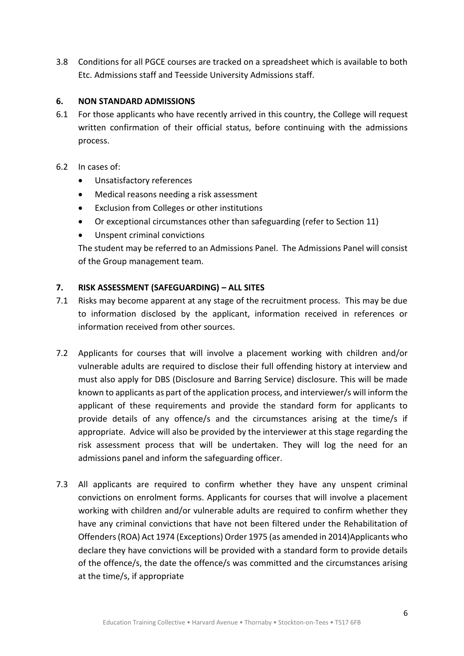3.8 Conditions for all PGCE courses are tracked on a spreadsheet which is available to both Etc. Admissions staff and Teesside University Admissions staff.

#### **6. NON STANDARD ADMISSIONS**

6.1 For those applicants who have recently arrived in this country, the College will request written confirmation of their official status, before continuing with the admissions process.

#### 6.2 In cases of:

- Unsatisfactory references
- Medical reasons needing a risk assessment
- Exclusion from Colleges or other institutions
- Or exceptional circumstances other than safeguarding (refer to Section 11)
- Unspent criminal convictions

The student may be referred to an Admissions Panel. The Admissions Panel will consist of the Group management team.

#### **7. RISK ASSESSMENT (SAFEGUARDING) – ALL SITES**

- 7.1 Risks may become apparent at any stage of the recruitment process. This may be due to information disclosed by the applicant, information received in references or information received from other sources.
- 7.2 Applicants for courses that will involve a placement working with children and/or vulnerable adults are required to disclose their full offending history at interview and must also apply for DBS (Disclosure and Barring Service) disclosure. This will be made known to applicants as part of the application process, and interviewer/s will inform the applicant of these requirements and provide the standard form for applicants to provide details of any offence/s and the circumstances arising at the time/s if appropriate. Advice will also be provided by the interviewer at this stage regarding the risk assessment process that will be undertaken. They will log the need for an admissions panel and inform the safeguarding officer.
- 7.3 All applicants are required to confirm whether they have any unspent criminal convictions on enrolment forms. Applicants for courses that will involve a placement working with children and/or vulnerable adults are required to confirm whether they have any criminal convictions that have not been filtered under the Rehabilitation of Offenders (ROA) Act 1974 (Exceptions) Order 1975 (as amended in 2014)Applicants who declare they have convictions will be provided with a standard form to provide details of the offence/s, the date the offence/s was committed and the circumstances arising at the time/s, if appropriate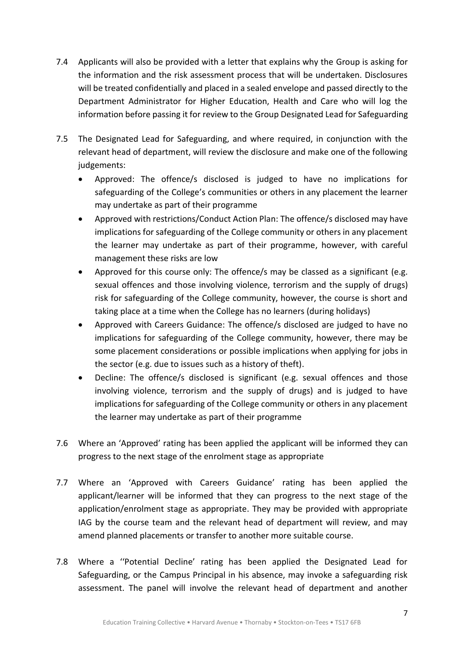- 7.4 Applicants will also be provided with a letter that explains why the Group is asking for the information and the risk assessment process that will be undertaken. Disclosures will be treated confidentially and placed in a sealed envelope and passed directly to the Department Administrator for Higher Education, Health and Care who will log the information before passing it for review to the Group Designated Lead for Safeguarding
- 7.5 The Designated Lead for Safeguarding, and where required, in conjunction with the relevant head of department, will review the disclosure and make one of the following judgements:
	- Approved: The offence/s disclosed is judged to have no implications for safeguarding of the College's communities or others in any placement the learner may undertake as part of their programme
	- Approved with restrictions/Conduct Action Plan: The offence/s disclosed may have implications for safeguarding of the College community or others in any placement the learner may undertake as part of their programme, however, with careful management these risks are low
	- Approved for this course only: The offence/s may be classed as a significant (e.g. sexual offences and those involving violence, terrorism and the supply of drugs) risk for safeguarding of the College community, however, the course is short and taking place at a time when the College has no learners (during holidays)
	- Approved with Careers Guidance: The offence/s disclosed are judged to have no implications for safeguarding of the College community, however, there may be some placement considerations or possible implications when applying for jobs in the sector (e.g. due to issues such as a history of theft).
	- Decline: The offence/s disclosed is significant (e.g. sexual offences and those involving violence, terrorism and the supply of drugs) and is judged to have implications for safeguarding of the College community or others in any placement the learner may undertake as part of their programme
- 7.6 Where an 'Approved' rating has been applied the applicant will be informed they can progress to the next stage of the enrolment stage as appropriate
- 7.7 Where an 'Approved with Careers Guidance' rating has been applied the applicant/learner will be informed that they can progress to the next stage of the application/enrolment stage as appropriate. They may be provided with appropriate IAG by the course team and the relevant head of department will review, and may amend planned placements or transfer to another more suitable course.
- 7.8 Where a ''Potential Decline' rating has been applied the Designated Lead for Safeguarding, or the Campus Principal in his absence, may invoke a safeguarding risk assessment. The panel will involve the relevant head of department and another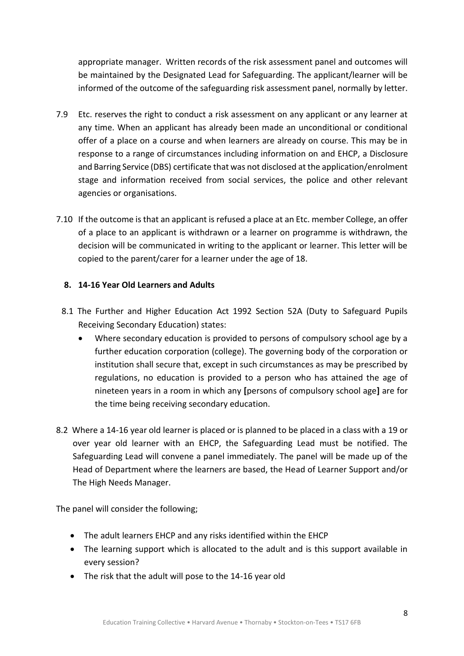appropriate manager. Written records of the risk assessment panel and outcomes will be maintained by the Designated Lead for Safeguarding. The applicant/learner will be informed of the outcome of the safeguarding risk assessment panel, normally by letter.

- 7.9 Etc. reserves the right to conduct a risk assessment on any applicant or any learner at any time. When an applicant has already been made an unconditional or conditional offer of a place on a course and when learners are already on course. This may be in response to a range of circumstances including information on and EHCP, a Disclosure and Barring Service (DBS) certificate that was not disclosed at the application/enrolment stage and information received from social services, the police and other relevant agencies or organisations.
- 7.10 If the outcome is that an applicant is refused a place at an Etc. member College, an offer of a place to an applicant is withdrawn or a learner on programme is withdrawn, the decision will be communicated in writing to the applicant or learner. This letter will be copied to the parent/carer for a learner under the age of 18.

#### **8. 14-16 Year Old Learners and Adults**

- 8.1 The Further and Higher Education Act 1992 Section 52A (Duty to Safeguard Pupils Receiving Secondary Education) states:
	- Where secondary education is provided to persons of compulsory school age by a further education corporation (college). The governing body of the corporation or institution shall secure that, except in such circumstances as may be prescribed by regulations, no education is provided to a person who has attained the age of nineteen years in a room in which any **[**persons of compulsory school age**]** are for the time being receiving secondary education.
- 8.2 Where a 14-16 year old learner is placed or is planned to be placed in a class with a 19 or over year old learner with an EHCP, the Safeguarding Lead must be notified. The Safeguarding Lead will convene a panel immediately. The panel will be made up of the Head of Department where the learners are based, the Head of Learner Support and/or The High Needs Manager.

The panel will consider the following;

- The adult learners EHCP and any risks identified within the EHCP
- The learning support which is allocated to the adult and is this support available in every session?
- The risk that the adult will pose to the 14-16 year old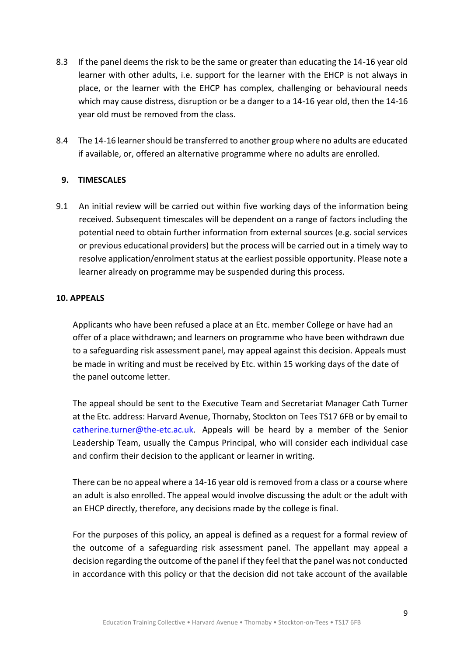- 8.3 If the panel deems the risk to be the same or greater than educating the 14-16 year old learner with other adults, i.e. support for the learner with the EHCP is not always in place, or the learner with the EHCP has complex, challenging or behavioural needs which may cause distress, disruption or be a danger to a 14-16 year old, then the 14-16 year old must be removed from the class.
- 8.4 The 14-16 learner should be transferred to another group where no adults are educated if available, or, offered an alternative programme where no adults are enrolled.

#### **9. TIMESCALES**

9.1 An initial review will be carried out within five working days of the information being received. Subsequent timescales will be dependent on a range of factors including the potential need to obtain further information from external sources (e.g. social services or previous educational providers) but the process will be carried out in a timely way to resolve application/enrolment status at the earliest possible opportunity. Please note a learner already on programme may be suspended during this process.

#### **10. APPEALS**

Applicants who have been refused a place at an Etc. member College or have had an offer of a place withdrawn; and learners on programme who have been withdrawn due to a safeguarding risk assessment panel, may appeal against this decision. Appeals must be made in writing and must be received by Etc. within 15 working days of the date of the panel outcome letter.

The appeal should be sent to the Executive Team and Secretariat Manager Cath Turner at the Etc. address: Harvard Avenue, Thornaby, Stockton on Tees TS17 6FB or by email to [catherine.turner@the-etc.ac.uk.](mailto:catherine.turner@the-etc.ac.uk) Appeals will be heard by a member of the Senior Leadership Team, usually the Campus Principal, who will consider each individual case and confirm their decision to the applicant or learner in writing.

There can be no appeal where a 14-16 year old is removed from a class or a course where an adult is also enrolled. The appeal would involve discussing the adult or the adult with an EHCP directly, therefore, any decisions made by the college is final.

For the purposes of this policy, an appeal is defined as a request for a formal review of the outcome of a safeguarding risk assessment panel. The appellant may appeal a decision regarding the outcome of the panel if they feel that the panel was not conducted in accordance with this policy or that the decision did not take account of the available